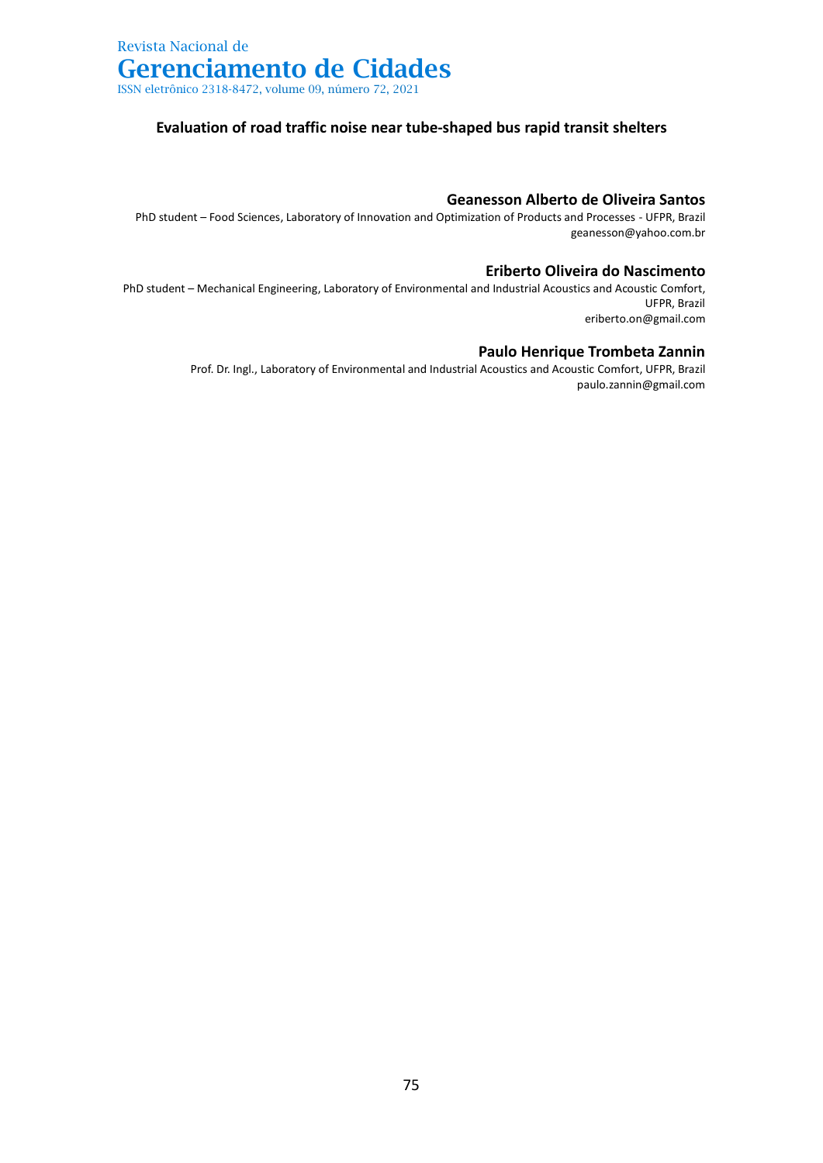## **Evaluation of road traffic noise near tube-shaped bus rapid transit shelters**

### **Geanesson Alberto de Oliveira Santos**

PhD student – Food Sciences, Laboratory of Innovation and Optimization of Products and Processes - UFPR, Brazil geanesson@yahoo.com.br

#### **Eriberto Oliveira do Nascimento**

PhD student – Mechanical Engineering, Laboratory of Environmental and Industrial Acoustics and Acoustic Comfort, UFPR, Brazil eriberto.on@gmail.com

### **Paulo Henrique Trombeta Zannin**

Prof. Dr. Ingl., Laboratory of Environmental and Industrial Acoustics and Acoustic Comfort, UFPR, Brazil paulo.zannin@gmail.com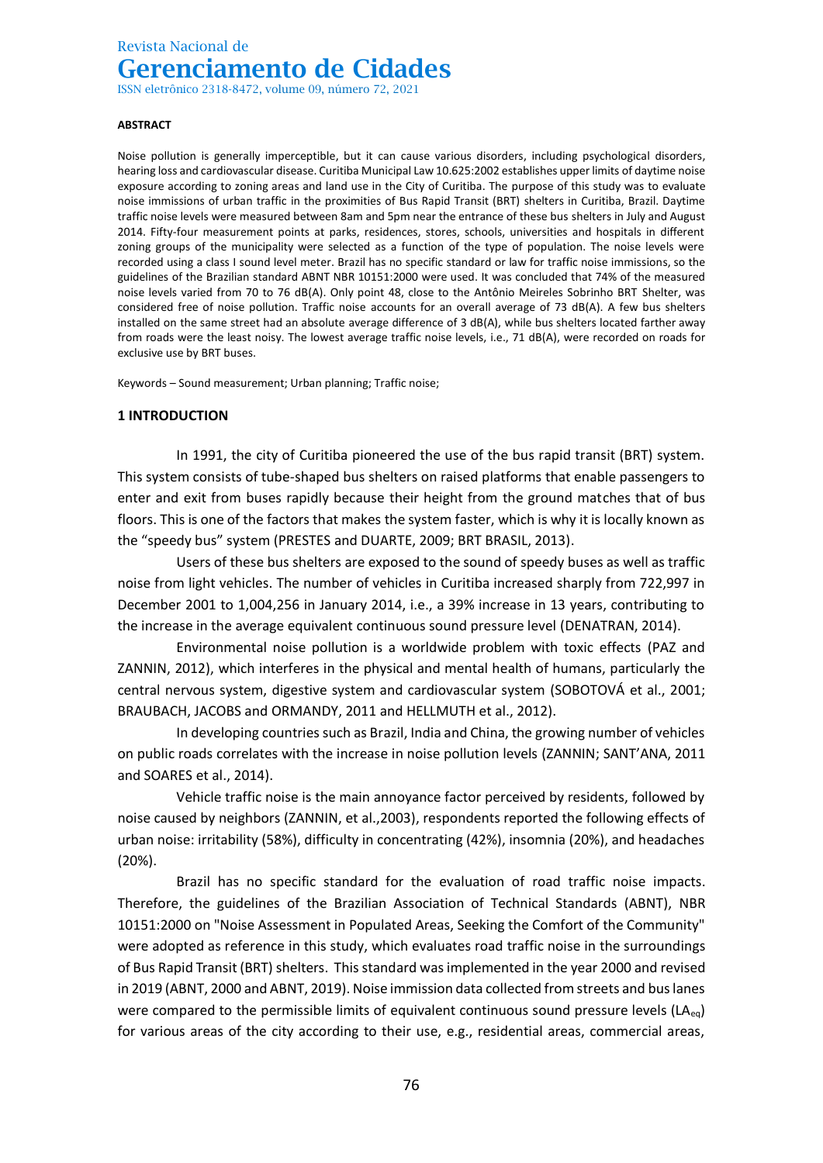ISSN eletrônico 2318-8472, volume 09, número 72, 2021

#### **ABSTRACT**

Noise pollution is generally imperceptible, but it can cause various disorders, including psychological disorders, hearing loss and cardiovascular disease. Curitiba Municipal Law 10.625:2002 establishes upper limits of daytime noise exposure according to zoning areas and land use in the City of Curitiba. The purpose of this study was to evaluate noise immissions of urban traffic in the proximities of Bus Rapid Transit (BRT) shelters in Curitiba, Brazil. Daytime traffic noise levels were measured between 8am and 5pm near the entrance of these bus shelters in July and August 2014. Fifty-four measurement points at parks, residences, stores, schools, universities and hospitals in different zoning groups of the municipality were selected as a function of the type of population. The noise levels were recorded using a class I sound level meter. Brazil has no specific standard or law for traffic noise immissions, so the guidelines of the Brazilian standard ABNT NBR 10151:2000 were used. It was concluded that 74% of the measured noise levels varied from 70 to 76 dB(A). Only point 48, close to the Antônio Meireles Sobrinho BRT Shelter, was considered free of noise pollution. Traffic noise accounts for an overall average of 73 dB(A). A few bus shelters installed on the same street had an absolute average difference of 3 dB(A), while bus shelters located farther away from roads were the least noisy. The lowest average traffic noise levels, i.e., 71 dB(A), were recorded on roads for exclusive use by BRT buses.

Keywords – Sound measurement; Urban planning; Traffic noise;

#### **1 INTRODUCTION**

In 1991, the city of Curitiba pioneered the use of the bus rapid transit (BRT) system. This system consists of tube-shaped bus shelters on raised platforms that enable passengers to enter and exit from buses rapidly because their height from the ground matches that of bus floors. This is one of the factors that makes the system faster, which is why it is locally known as the "speedy bus" system (PRESTES and DUARTE, 2009; BRT BRASIL, 2013).

Users of these bus shelters are exposed to the sound of speedy buses as well as traffic noise from light vehicles. The number of vehicles in Curitiba increased sharply from 722,997 in December 2001 to 1,004,256 in January 2014, i.e., a 39% increase in 13 years, contributing to the increase in the average equivalent continuous sound pressure level (DENATRAN, 2014).

Environmental noise pollution is a worldwide problem with toxic effects (PAZ and ZANNIN, 2012), which interferes in the physical and mental health of humans, particularly the central nervous system, digestive system and cardiovascular system (SOBOTOVÁ et al., 2001; BRAUBACH, JACOBS and ORMANDY, 2011 and HELLMUTH et al., 2012).

In developing countries such as Brazil, India and China, the growing number of vehicles on public roads correlates with the increase in noise pollution levels (ZANNIN; SANT'ANA, 2011 and SOARES et al., 2014).

Vehicle traffic noise is the main annoyance factor perceived by residents, followed by noise caused by neighbors (ZANNIN, et al.,2003), respondents reported the following effects of urban noise: irritability (58%), difficulty in concentrating (42%), insomnia (20%), and headaches (20%).

Brazil has no specific standard for the evaluation of road traffic noise impacts. Therefore, the guidelines of the Brazilian Association of Technical Standards (ABNT), NBR 10151:2000 on "Noise Assessment in Populated Areas, Seeking the Comfort of the Community" were adopted as reference in this study, which evaluates road traffic noise in the surroundings of Bus Rapid Transit (BRT) shelters. This standard was implemented in the year 2000 and revised in 2019 (ABNT, 2000 and ABNT, 2019). Noise immission data collected from streets and bus lanes were compared to the permissible limits of equivalent continuous sound pressure levels ( $LA_{eq}$ ) for various areas of the city according to their use, e.g., residential areas, commercial areas,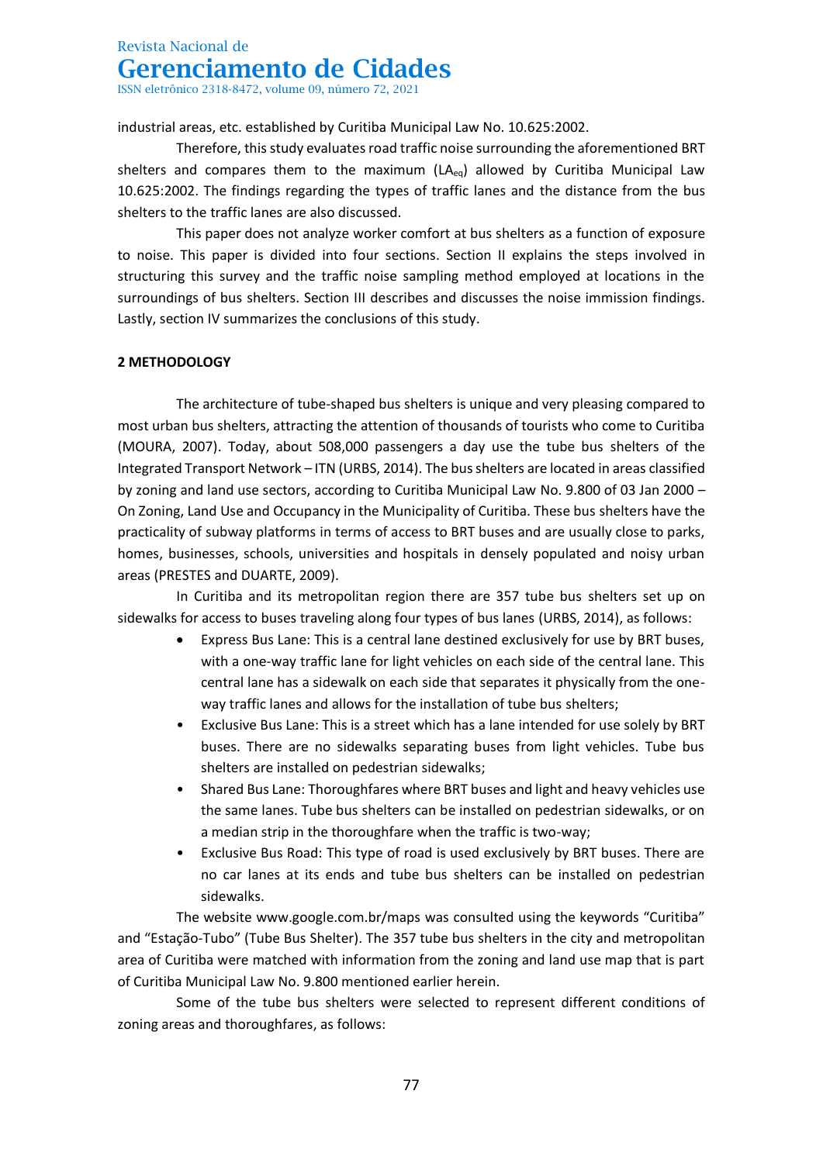ISSN eletrônico 2318-8472, volume 09, número 72, 2021

industrial areas, etc. established by Curitiba Municipal Law No. 10.625:2002.

Therefore, this study evaluates road traffic noise surrounding the aforementioned BRT shelters and compares them to the maximum  $(LA_{eq})$  allowed by Curitiba Municipal Law 10.625:2002. The findings regarding the types of traffic lanes and the distance from the bus shelters to the traffic lanes are also discussed.

This paper does not analyze worker comfort at bus shelters as a function of exposure to noise. This paper is divided into four sections. Section II explains the steps involved in structuring this survey and the traffic noise sampling method employed at locations in the surroundings of bus shelters. Section III describes and discusses the noise immission findings. Lastly, section IV summarizes the conclusions of this study.

## **2 METHODOLOGY**

The architecture of tube-shaped bus shelters is unique and very pleasing compared to most urban bus shelters, attracting the attention of thousands of tourists who come to Curitiba (MOURA, 2007). Today, about 508,000 passengers a day use the tube bus shelters of the Integrated Transport Network – ITN (URBS, 2014). The bus shelters are located in areas classified by zoning and land use sectors, according to Curitiba Municipal Law No. 9.800 of 03 Jan 2000 – On Zoning, Land Use and Occupancy in the Municipality of Curitiba. These bus shelters have the practicality of subway platforms in terms of access to BRT buses and are usually close to parks, homes, businesses, schools, universities and hospitals in densely populated and noisy urban areas (PRESTES and DUARTE, 2009).

In Curitiba and its metropolitan region there are 357 tube bus shelters set up on sidewalks for access to buses traveling along four types of bus lanes (URBS, 2014), as follows:

- Express Bus Lane: This is a central lane destined exclusively for use by BRT buses, with a one-way traffic lane for light vehicles on each side of the central lane. This central lane has a sidewalk on each side that separates it physically from the oneway traffic lanes and allows for the installation of tube bus shelters;
- Exclusive Bus Lane: This is a street which has a lane intended for use solely by BRT buses. There are no sidewalks separating buses from light vehicles. Tube bus shelters are installed on pedestrian sidewalks;
- Shared Bus Lane: Thoroughfares where BRT buses and light and heavy vehicles use the same lanes. Tube bus shelters can be installed on pedestrian sidewalks, or on a median strip in the thoroughfare when the traffic is two-way;
- Exclusive Bus Road: This type of road is used exclusively by BRT buses. There are no car lanes at its ends and tube bus shelters can be installed on pedestrian sidewalks.

The website www.google.com.br/maps was consulted using the keywords "Curitiba" and "Estação-Tubo" (Tube Bus Shelter). The 357 tube bus shelters in the city and metropolitan area of Curitiba were matched with information from the zoning and land use map that is part of Curitiba Municipal Law No. 9.800 mentioned earlier herein.

Some of the tube bus shelters were selected to represent different conditions of zoning areas and thoroughfares, as follows: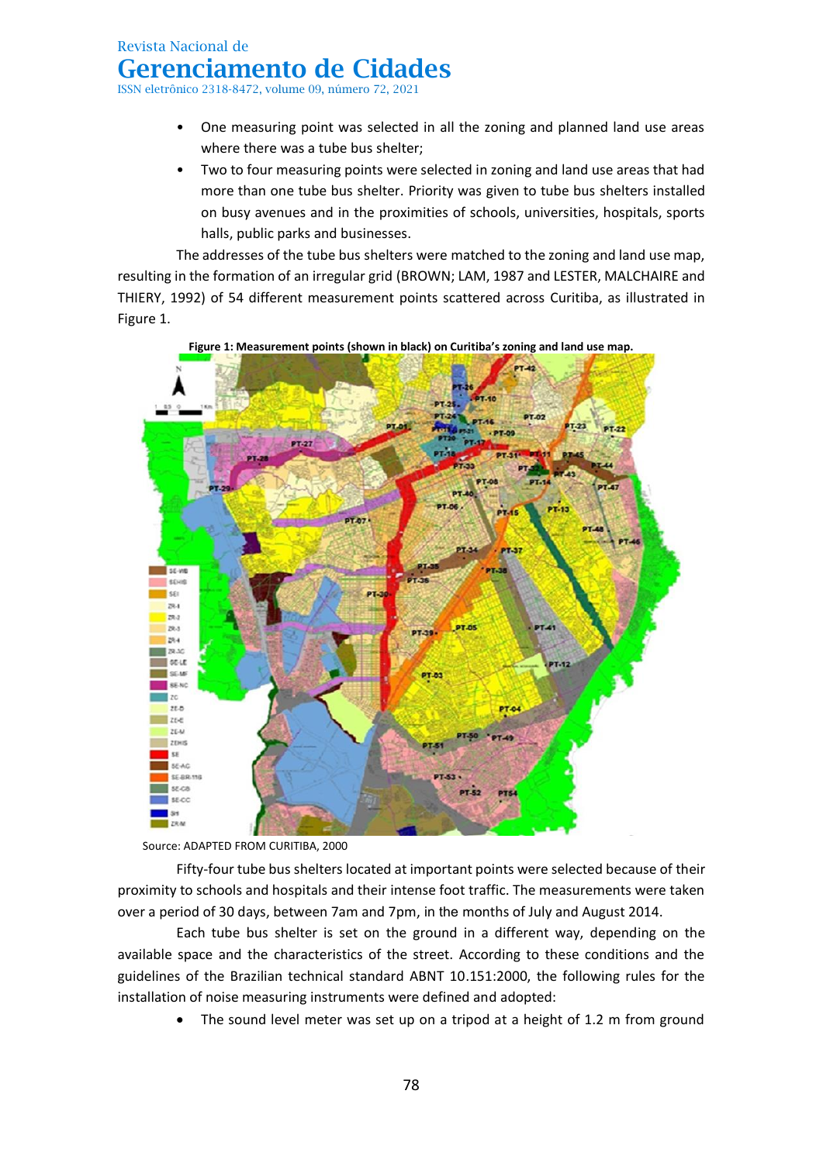ISSN eletrônico 2318-8472, volume 09, número 72, 2021

- One measuring point was selected in all the zoning and planned land use areas where there was a tube bus shelter;
- Two to four measuring points were selected in zoning and land use areas that had more than one tube bus shelter. Priority was given to tube bus shelters installed on busy avenues and in the proximities of schools, universities, hospitals, sports halls, public parks and businesses.

The addresses of the tube bus shelters were matched to the zoning and land use map, resulting in the formation of an irregular grid (BROWN; LAM, 1987 and LESTER, MALCHAIRE and THIERY, 1992) of 54 different measurement points scattered across Curitiba, as illustrated in Figure 1.



**Figure 1: Measurement points (shown in black) on Curitiba's zoning and land use map.**

Source: ADAPTED FROM CURITIBA, 2000

Fifty-four tube bus shelters located at important points were selected because of their proximity to schools and hospitals and their intense foot traffic. The measurements were taken over a period of 30 days, between 7am and 7pm, in the months of July and August 2014.

Each tube bus shelter is set on the ground in a different way, depending on the available space and the characteristics of the street. According to these conditions and the guidelines of the Brazilian technical standard ABNT 10.151:2000, the following rules for the installation of noise measuring instruments were defined and adopted:

The sound level meter was set up on a tripod at a height of 1.2 m from ground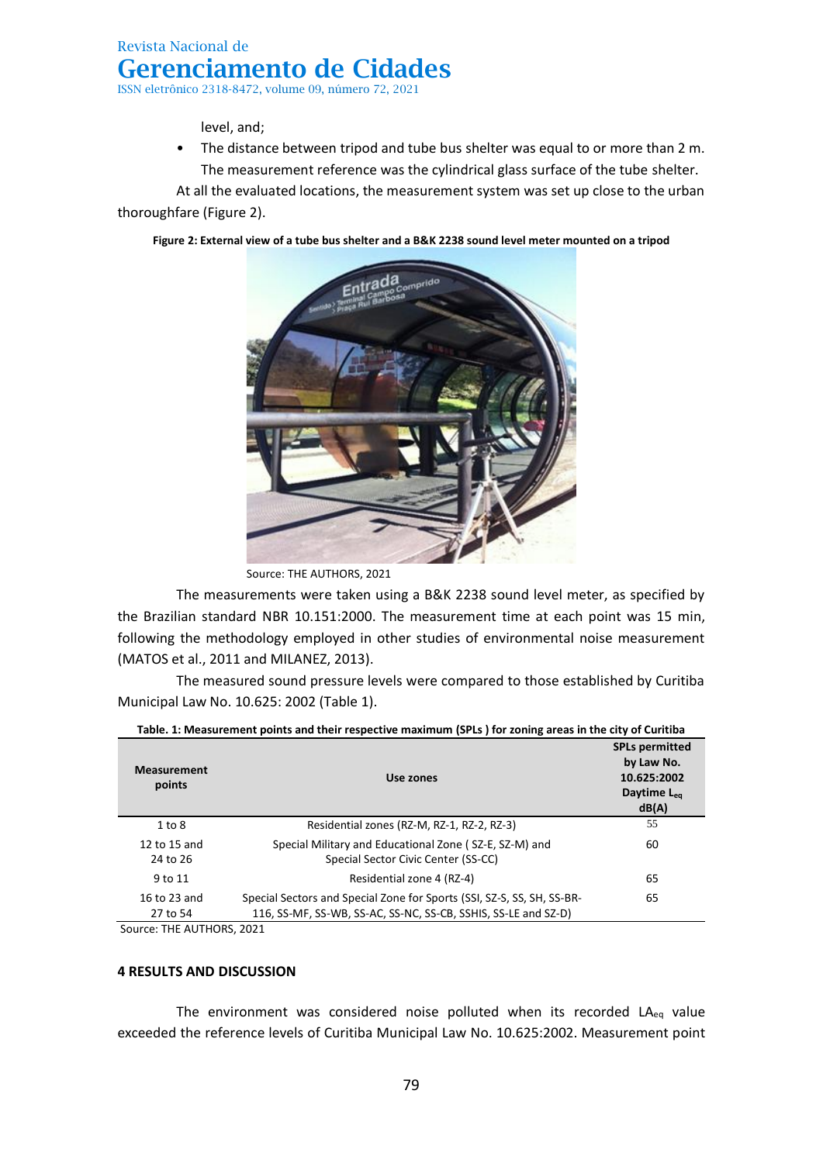level, and;

• The distance between tripod and tube bus shelter was equal to or more than 2 m. The measurement reference was the cylindrical glass surface of the tube shelter.

At all the evaluated locations, the measurement system was set up close to the urban thoroughfare (Figure 2).



**Figure 2: External view of a tube bus shelter and a B&K 2238 sound level meter mounted on a tripod**

Source: THE AUTHORS, 2021

The measurements were taken using a B&K 2238 sound level meter, as specified by the Brazilian standard NBR 10.151:2000. The measurement time at each point was 15 min, following the methodology employed in other studies of environmental noise measurement (MATOS et al., 2011 and MILANEZ, 2013).

The measured sound pressure levels were compared to those established by Curitiba Municipal Law No. 10.625: 2002 (Table 1).

| <b>Measurement</b><br>points | Use zones                                                                                                                                | <b>SPLs permitted</b><br>by Law No.<br>10.625:2002<br>Daytime L <sub>eg</sub><br>dB(A) |
|------------------------------|------------------------------------------------------------------------------------------------------------------------------------------|----------------------------------------------------------------------------------------|
| $1$ to $8$                   | Residential zones (RZ-M, RZ-1, RZ-2, RZ-3)                                                                                               | 55                                                                                     |
| 12 to 15 and<br>24 to 26     | Special Military and Educational Zone (SZ-E, SZ-M) and<br>Special Sector Civic Center (SS-CC)                                            | 60                                                                                     |
| 9 to 11                      | Residential zone 4 (RZ-4)                                                                                                                | 65                                                                                     |
| 16 to 23 and<br>27 to 54     | Special Sectors and Special Zone for Sports (SSI, SZ-S, SS, SH, SS-BR-<br>116, SS-MF, SS-WB, SS-AC, SS-NC, SS-CB, SSHIS, SS-LE and SZ-D) | 65                                                                                     |
|                              |                                                                                                                                          |                                                                                        |

| Table. 1: Measurement points and their respective maximum (SPLs) for zoning areas in the city of Curitiba |  |
|-----------------------------------------------------------------------------------------------------------|--|
|                                                                                                           |  |

Source: THE AUTHORS, 2021

#### **4 RESULTS AND DISCUSSION**

The environment was considered noise polluted when its recorded  $LA_{eq}$  value exceeded the reference levels of Curitiba Municipal Law No. 10.625:2002. Measurement point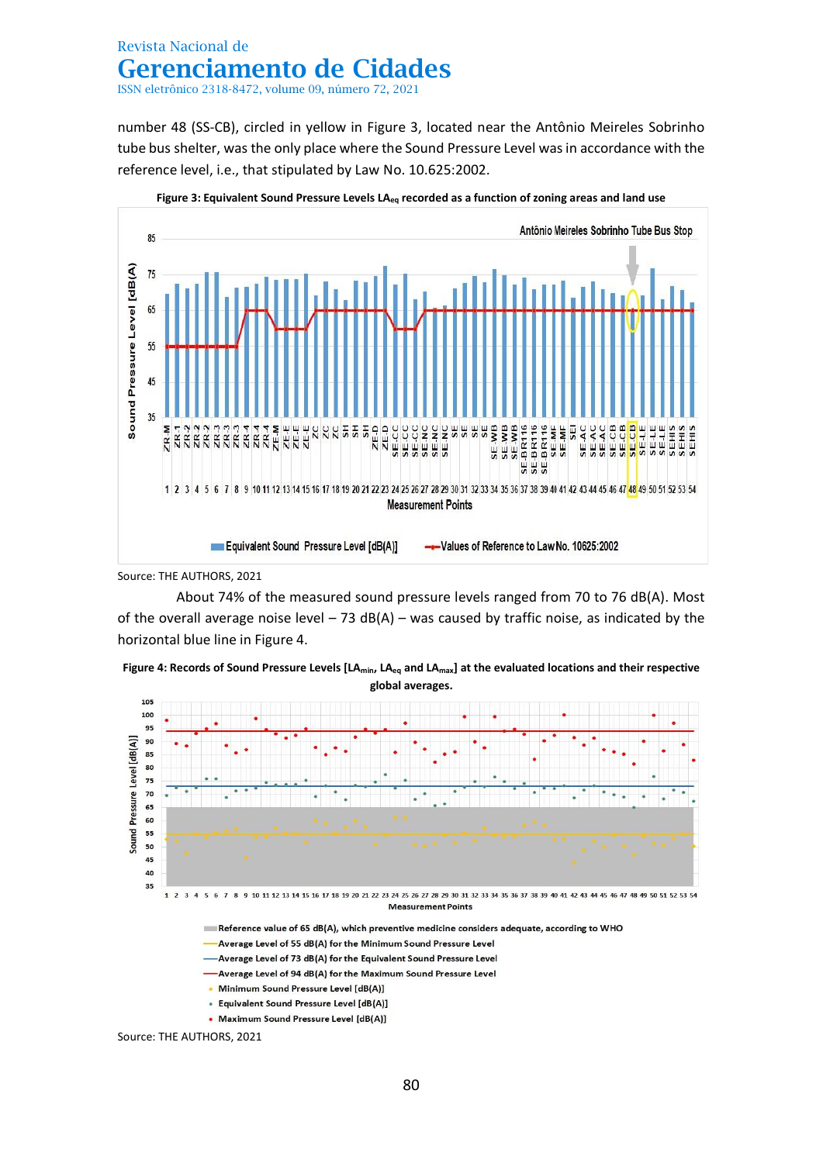ISSN eletrônico 2318-8472, volume 09, número 72, 2021

number 48 (SS-CB), circled in yellow in Figure 3, located near the Antônio Meireles Sobrinho tube bus shelter, was the only place where the Sound Pressure Level was in accordance with the reference level, i.e., that stipulated by Law No. 10.625:2002.



**Figure 3: Equivalent Sound Pressure Levels LAeq recorded as a function of zoning areas and land use**

Source: THE AUTHORS, 2021

About 74% of the measured sound pressure levels ranged from 70 to 76 dB(A). Most of the overall average noise level  $-73$  dB(A) – was caused by traffic noise, as indicated by the horizontal blue line in Figure 4.





- 
- Average Level of 73 dB(A) for the Equivalent Sound Pressure Level
- -Average Level of 94 dB(A) for the Maximum Sound Pressure Level
- Minimum Sound Pressure Level [dB(A)]
- Equivalent Sound Pressure Level [dB(A)]
- Maximum Sound Pressure Level [dB(A)]

Source: THE AUTHORS, 2021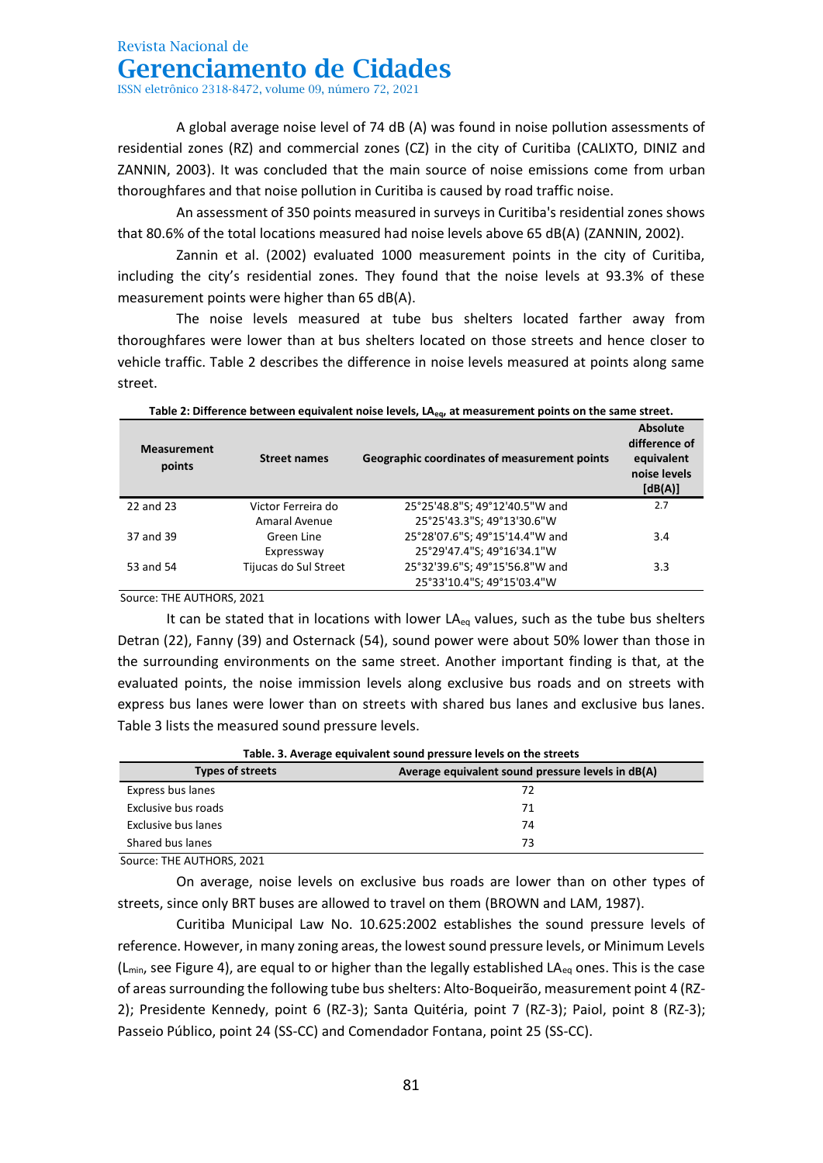ISSN eletrônico 2318-8472, volume 09, número 72, 2021

A global average noise level of 74 dB (A) was found in noise pollution assessments of residential zones (RZ) and commercial zones (CZ) in the city of Curitiba (CALIXTO, DINIZ and ZANNIN, 2003). It was concluded that the main source of noise emissions come from urban thoroughfares and that noise pollution in Curitiba is caused by road traffic noise.

An assessment of 350 points measured in surveys in Curitiba's residential zones shows that 80.6% of the total locations measured had noise levels above 65 dB(A) (ZANNIN, 2002).

Zannin et al. (2002) evaluated 1000 measurement points in the city of Curitiba, including the city's residential zones. They found that the noise levels at 93.3% of these measurement points were higher than 65 dB(A).

The noise levels measured at tube bus shelters located farther away from thoroughfares were lower than at bus shelters located on those streets and hence closer to vehicle traffic. Table 2 describes the difference in noise levels measured at points along same street.

| Table 2: Difference between equivalent holse levels, LA <sub>ed</sub> , at measurement points on the same street. |                       |                                              |                                                                    |  |
|-------------------------------------------------------------------------------------------------------------------|-----------------------|----------------------------------------------|--------------------------------------------------------------------|--|
| <b>Measurement</b><br>points                                                                                      | <b>Street names</b>   | Geographic coordinates of measurement points | Absolute<br>difference of<br>equivalent<br>noise levels<br>[dB(A)] |  |
| 22 and 23                                                                                                         | Victor Ferreira do    | 25°25'48.8"S; 49°12'40.5"W and               | 2.7                                                                |  |
|                                                                                                                   | Amaral Avenue         | 25°25'43.3"S; 49°13'30.6"W                   |                                                                    |  |
| 37 and 39                                                                                                         | Green Line            | 25°28'07.6"S; 49°15'14.4"W and               | 3.4                                                                |  |
|                                                                                                                   | Expressway            | 25°29'47.4"S; 49°16'34.1"W                   |                                                                    |  |
| 53 and 54                                                                                                         | Tijucas do Sul Street | 25°32'39.6"S; 49°15'56.8"W and               | 3.3                                                                |  |
|                                                                                                                   |                       | 25°33'10.4"S; 49°15'03.4"W                   |                                                                    |  |

**Table 2: Difference between equivalent noise levels, LAeq, at measurement points on the same street.**

Source: THE AUTHORS, 2021

It can be stated that in locations with lower  $LA_{eq}$  values, such as the tube bus shelters Detran (22), Fanny (39) and Osternack (54), sound power were about 50% lower than those in the surrounding environments on the same street. Another important finding is that, at the evaluated points, the noise immission levels along exclusive bus roads and on streets with express bus lanes were lower than on streets with shared bus lanes and exclusive bus lanes. Table 3 lists the measured sound pressure levels.

| Table. 3. Average equivalent sound pressure levels on the streets |                                                   |  |  |  |
|-------------------------------------------------------------------|---------------------------------------------------|--|--|--|
| <b>Types of streets</b>                                           | Average equivalent sound pressure levels in dB(A) |  |  |  |
| Express bus lanes                                                 | 72                                                |  |  |  |
| Exclusive bus roads                                               | 71                                                |  |  |  |
| Exclusive bus lanes                                               | 74                                                |  |  |  |
| Shared bus lanes                                                  | 73                                                |  |  |  |

**Table. 3. Average equivalent sound pressure levels on the streets**

Source: THE AUTHORS, 2021

On average, noise levels on exclusive bus roads are lower than on other types of streets, since only BRT buses are allowed to travel on them (BROWN and LAM, 1987).

Curitiba Municipal Law No. 10.625:2002 establishes the sound pressure levels of reference. However, in many zoning areas, the lowest sound pressure levels, or Minimum Levels  $(L_{min}$ , see Figure 4), are equal to or higher than the legally established LA<sub>eq</sub> ones. This is the case of areas surrounding the following tube bus shelters: Alto-Boqueirão, measurement point 4 (RZ-2); Presidente Kennedy, point 6 (RZ-3); Santa Quitéria, point 7 (RZ-3); Paiol, point 8 (RZ-3); Passeio Público, point 24 (SS-CC) and Comendador Fontana, point 25 (SS-CC).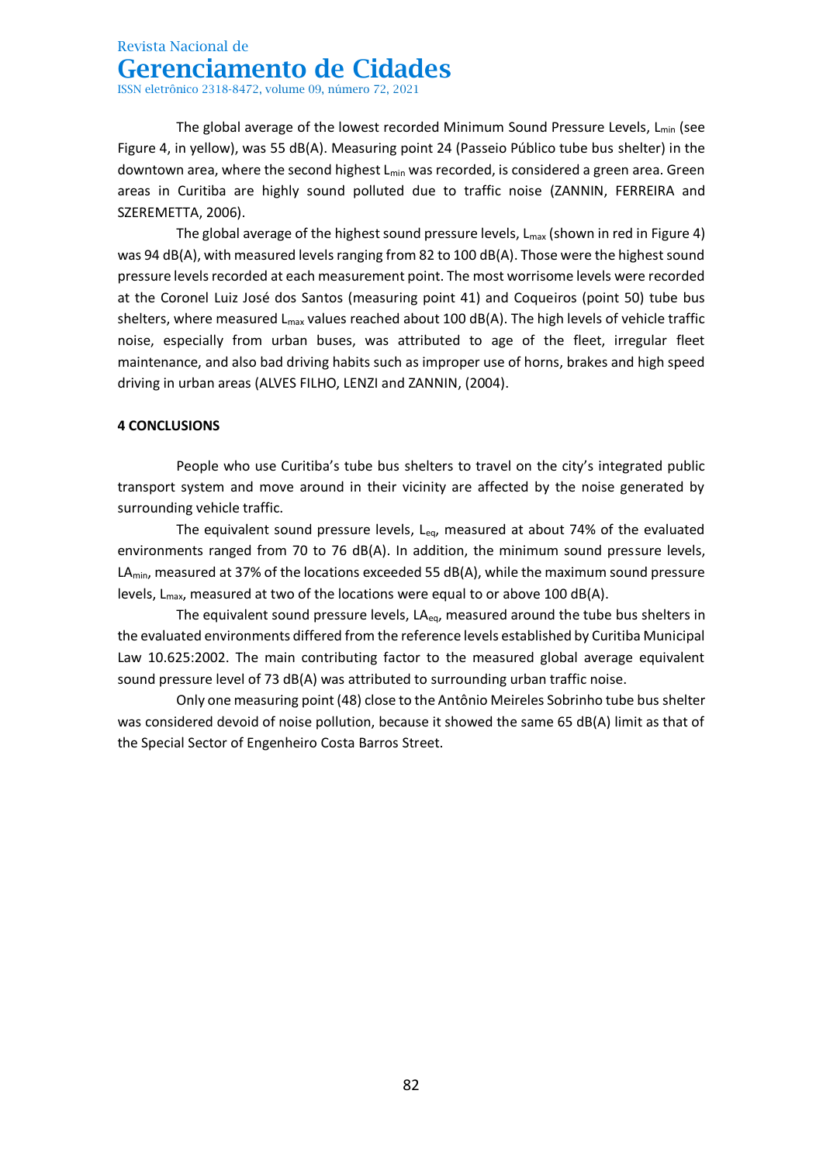The global average of the lowest recorded Minimum Sound Pressure Levels, L<sub>min</sub> (see Figure 4, in yellow), was 55 dB(A). Measuring point 24 (Passeio Público tube bus shelter) in the downtown area, where the second highest L<sub>min</sub> was recorded, is considered a green area. Green areas in Curitiba are highly sound polluted due to traffic noise (ZANNIN, FERREIRA and SZEREMETTA, 2006).

The global average of the highest sound pressure levels,  $L_{max}$  (shown in red in Figure 4) was 94 dB(A), with measured levels ranging from 82 to 100 dB(A). Those were the highest sound pressure levels recorded at each measurement point. The most worrisome levels were recorded at the Coronel Luiz José dos Santos (measuring point 41) and Coqueiros (point 50) tube bus shelters, where measured  $L_{max}$  values reached about 100 dB(A). The high levels of vehicle traffic noise, especially from urban buses, was attributed to age of the fleet, irregular fleet maintenance, and also bad driving habits such as improper use of horns, brakes and high speed driving in urban areas (ALVES FILHO, LENZI and ZANNIN, (2004).

### **4 CONCLUSIONS**

People who use Curitiba's tube bus shelters to travel on the city's integrated public transport system and move around in their vicinity are affected by the noise generated by surrounding vehicle traffic.

The equivalent sound pressure levels,  $L_{eq}$ , measured at about 74% of the evaluated environments ranged from 70 to 76 dB(A). In addition, the minimum sound pressure levels,  $LA<sub>min</sub>$ , measured at 37% of the locations exceeded 55 dB(A), while the maximum sound pressure levels,  $L_{\text{max}}$ , measured at two of the locations were equal to or above 100 dB(A).

The equivalent sound pressure levels,  $LA_{eq}$ , measured around the tube bus shelters in the evaluated environments differed from the reference levels established by Curitiba Municipal Law 10.625:2002. The main contributing factor to the measured global average equivalent sound pressure level of 73 dB(A) was attributed to surrounding urban traffic noise.

Only one measuring point (48) close to the Antônio Meireles Sobrinho tube bus shelter was considered devoid of noise pollution, because it showed the same 65 dB(A) limit as that of the Special Sector of Engenheiro Costa Barros Street.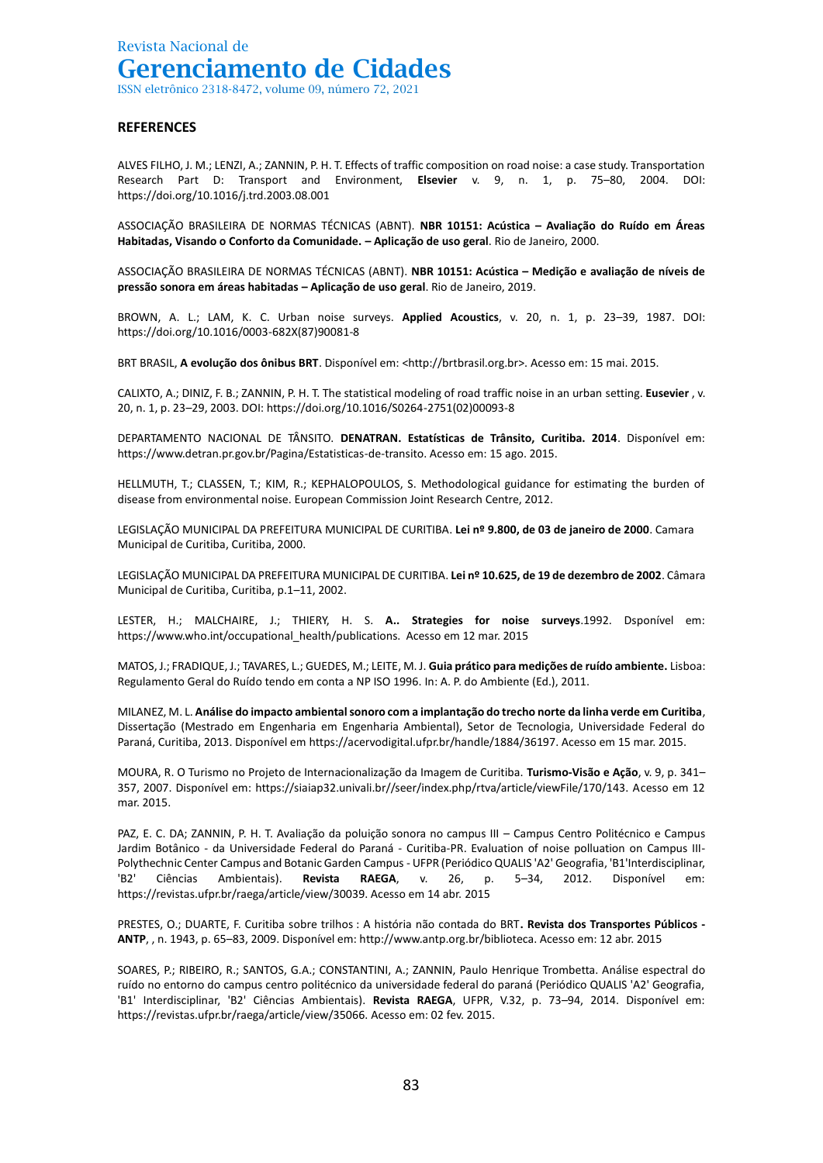#### **REFERENCES**

ALVES FILHO, J. M.; LENZI, A.; ZANNIN, P. H. T. Effects of traffic composition on road noise: a case study. Transportation Research Part D: Transport and Environment, **Elsevier** v. 9, n. 1, p. 75–80, 2004. DOI: https://doi.org/10.1016/j.trd.2003.08.001

ASSOCIAÇÃO BRASILEIRA DE NORMAS TÉCNICAS (ABNT). **NBR 10151: Acústica – Avaliação do Ruído em Áreas Habitadas, Visando o Conforto da Comunidade. – Aplicação de uso geral**. Rio de Janeiro, 2000.

ASSOCIAÇÃO BRASILEIRA DE NORMAS TÉCNICAS (ABNT). **NBR 10151: Acústica – Medição e avaliação de níveis de pressão sonora em áreas habitadas – Aplicação de uso geral**. Rio de Janeiro, 2019.

BROWN, A. L.; LAM, K. C. Urban noise surveys. **Applied Acoustics**, v. 20, n. 1, p. 23–39, 1987. DOI: https://doi.org/10.1016/0003-682X(87)90081-8

BRT BRASIL, **A evolução dos ônibus BRT**. Disponível em: <http://brtbrasil.org.br>. Acesso em: 15 mai. 2015.

CALIXTO, A.; DINIZ, F. B.; ZANNIN, P. H. T. The statistical modeling of road traffic noise in an urban setting. **Eusevier** , v. 20, n. 1, p. 23–29, 2003. DOI: https://doi.org/10.1016/S0264-2751(02)00093-8

DEPARTAMENTO NACIONAL DE TÂNSITO. **DENATRAN. Estatísticas de Trânsito, Curitiba. 2014**. Disponível em: https://www.detran.pr.gov.br/Pagina/Estatisticas-de-transito. Acesso em: 15 ago. 2015.

HELLMUTH, T.; CLASSEN, T.; KIM, R.; KEPHALOPOULOS, S. Methodological guidance for estimating the burden of disease from environmental noise. European Commission Joint Research Centre, 2012.

LEGISLAÇÃO MUNICIPAL DA PREFEITURA MUNICIPAL DE CURITIBA. **Lei nº 9.800, de 03 de janeiro de 2000**. Camara Municipal de Curitiba, Curitiba, 2000.

LEGISLAÇÃO MUNICIPAL DA PREFEITURA MUNICIPAL DE CURITIBA. **Lei nº 10.625, de 19 de dezembro de 2002**. Câmara Municipal de Curitiba, Curitiba, p.1–11, 2002.

LESTER, H.; MALCHAIRE, J.; THIERY, H. S. **A.. Strategies for noise surveys**.1992. Dsponível em: https://www.who.int/occupational\_health/publications. Acesso em 12 mar. 2015

MATOS, J.; FRADIQUE, J.; TAVARES, L.; GUEDES, M.; LEITE, M. J. **Guia prático para medições de ruído ambiente.** Lisboa: Regulamento Geral do Ruído tendo em conta a NP ISO 1996. In: A. P. do Ambiente (Ed.), 2011.

MILANEZ, M. L. **Análise do impacto ambiental sonoro com a implantação do trecho norte da linha verde em Curitiba**, Dissertação (Mestrado em Engenharia em Engenharia Ambiental), Setor de Tecnologia, Universidade Federal do Paraná, Curitiba, 2013. Disponível em https://acervodigital.ufpr.br/handle/1884/36197. Acesso em 15 mar. 2015.

MOURA, R. O Turismo no Projeto de Internacionalização da Imagem de Curitiba. **Turismo-Visão e Ação**, v. 9, p. 341– 357, 2007. Disponível em: https://siaiap32.univali.br//seer/index.php/rtva/article/viewFile/170/143. Acesso em 12 mar. 2015.

PAZ, E. C. DA; ZANNIN, P. H. T. Avaliação da poluição sonora no campus III – Campus Centro Politécnico e Campus Jardim Botânico - da Universidade Federal do Paraná - Curitiba-PR. Evaluation of noise polluation on Campus III-Polythechnic Center Campus and Botanic Garden Campus - UFPR (Periódico QUALIS 'A2' Geografia, 'B1'Interdisciplinar, 'B2' Ciências Ambientais). **Revista RAEGA**, v. 26, p. 5–34, 2012. Disponível em: https://revistas.ufpr.br/raega/article/view/30039. Acesso em 14 abr. 2015

PRESTES, O.; DUARTE, F. Curitiba sobre trilhos : A história não contada do BRT**. Revista dos Transportes Públicos - ANTP**, , n. 1943, p. 65–83, 2009. Disponível em: http://www.antp.org.br/biblioteca. Acesso em: 12 abr. 2015

SOARES, P.; RIBEIRO, R.; SANTOS, G.A.; CONSTANTINI, A.; ZANNIN, Paulo Henrique Trombetta. Análise espectral do ruído no entorno do campus centro politécnico da universidade federal do paraná (Periódico QUALIS 'A2' Geografia, 'B1' Interdisciplinar, 'B2' Ciências Ambientais). **Revista RAEGA**, UFPR, V.32, p. 73–94, 2014. Disponível em: https://revistas.ufpr.br/raega/article/view/35066. Acesso em: 02 fev. 2015.